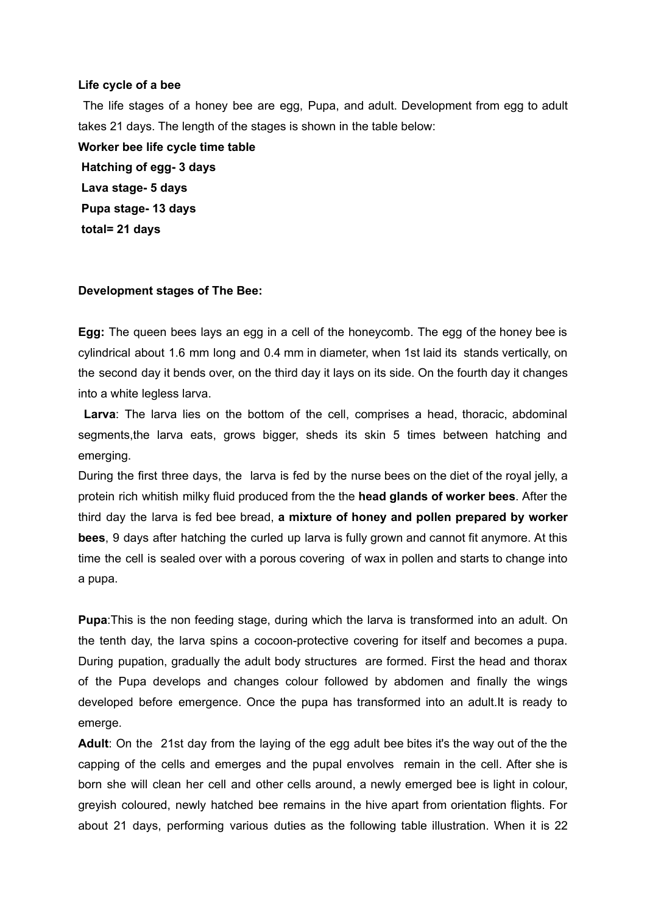## **Life cycle of a bee**

The life stages of a honey bee are egg, Pupa, and adult. Development from egg to adult takes 21 days. The length of the stages is shown in the table below:

**Worker bee life cycle time table Hatching of egg- 3 days Lava stage- 5 days Pupa stage- 13 days total= 21 days**

## **Development stages of The Bee:**

**Egg:** The queen bees lays an egg in a cell of the honeycomb. The egg of the honey bee is cylindrical about 1.6 mm long and 0.4 mm in diameter, when 1st laid its stands vertically, on the second day it bends over, on the third day it lays on its side. On the fourth day it changes into a white legless larva.

**Larva**: The larva lies on the bottom of the cell, comprises a head, thoracic, abdominal segments,the larva eats, grows bigger, sheds its skin 5 times between hatching and emerging.

During the first three days, the larva is fed by the nurse bees on the diet of the royal jelly, a protein rich whitish milky fluid produced from the the **head glands of worker bees**. After the third day the larva is fed bee bread, **a mixture of honey and pollen prepared by worker bees**, 9 days after hatching the curled up larva is fully grown and cannot fit anymore. At this time the cell is sealed over with a porous covering of wax in pollen and starts to change into a pupa.

**Pupa**:This is the non feeding stage, during which the larva is transformed into an adult. On the tenth day, the larva spins a cocoon-protective covering for itself and becomes a pupa. During pupation, gradually the adult body structures are formed. First the head and thorax of the Pupa develops and changes colour followed by abdomen and finally the wings developed before emergence. Once the pupa has transformed into an adult.It is ready to emerge.

**Adult**: On the 21st day from the laying of the egg adult bee bites it's the way out of the the capping of the cells and emerges and the pupal envolves remain in the cell. After she is born she will clean her cell and other cells around, a newly emerged bee is light in colour, greyish coloured, newly hatched bee remains in the hive apart from orientation flights. For about 21 days, performing various duties as the following table illustration. When it is 22